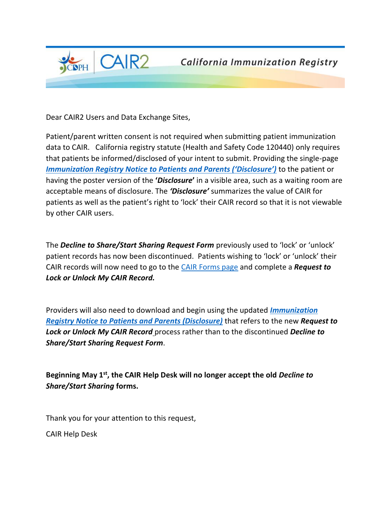

Dear CAIR2 Users and Data Exchange Sites,

Patient/parent written consent is not required when submitting patient immunization data to CAIR. California registry statute (Health and Safety Code 120440) only requires that patients be informed/disclosed of your intent to submit. Providing the single-page *[Immunization Registry Notice to Patients and Parents \('Disclosure'\)](https://urldefense.proofpoint.com/v2/url?u=http-3A__cairweb.org_cair-2Dforms&d=DwMFAg&c=Lr0a7ed3egkbwePCNW4ROg&r=VpLOcbDNQ_o34slOcjbYS3G0bQowCaRwwxbFDf2-NJGpJY_pvYIv-5IpOqrH3CPI&m=IP4tjdRUlHXIivcC1G3n1hKi-_m8Q0Xx9ZVU85RiOV4&s=8TQmXx2wJW5bbLdj2hVUGujHssq-yAZhD5CunX_BgKc&e=)* to the patient or having the poster version of the **'***Disclosure***'** in a visible area, such as a waiting room are acceptable means of disclosure. The *'Disclosure'* summarizes the value of CAIR for patients as well as the patient's right to 'lock' their CAIR record so that it is not viewable by other CAIR users.

The *Decline to Share/Start Sharing Request Form* previously used to 'lock' or 'unlock' patient records has now been discontinued. Patients wishing to 'lock' or 'unlock' their CAIR records will now need to go to the [CAIR Forms page](https://urldefense.proofpoint.com/v2/url?u=http-3A__cairweb.org_cair-2Dforms&d=DwMFAg&c=Lr0a7ed3egkbwePCNW4ROg&r=VpLOcbDNQ_o34slOcjbYS3G0bQowCaRwwxbFDf2-NJGpJY_pvYIv-5IpOqrH3CPI&m=IP4tjdRUlHXIivcC1G3n1hKi-_m8Q0Xx9ZVU85RiOV4&s=8TQmXx2wJW5bbLdj2hVUGujHssq-yAZhD5CunX_BgKc&e=) and complete a *Request to Lock or Unlock My CAIR Record.*

Providers will also need to download and begin using the updated *[Immunization](https://urldefense.proofpoint.com/v2/url?u=http-3A__cairweb.org_cair-2Dforms_&d=DwMFAg&c=Lr0a7ed3egkbwePCNW4ROg&r=VpLOcbDNQ_o34slOcjbYS3G0bQowCaRwwxbFDf2-NJGpJY_pvYIv-5IpOqrH3CPI&m=IP4tjdRUlHXIivcC1G3n1hKi-_m8Q0Xx9ZVU85RiOV4&s=pg8CScN9SgRNhubR-1ywDxBkzRvpMRfFFBZ8lry-KqY&e=)  [Registry Notice to Patients and Parents \(Disclosure\)](https://urldefense.proofpoint.com/v2/url?u=http-3A__cairweb.org_cair-2Dforms_&d=DwMFAg&c=Lr0a7ed3egkbwePCNW4ROg&r=VpLOcbDNQ_o34slOcjbYS3G0bQowCaRwwxbFDf2-NJGpJY_pvYIv-5IpOqrH3CPI&m=IP4tjdRUlHXIivcC1G3n1hKi-_m8Q0Xx9ZVU85RiOV4&s=pg8CScN9SgRNhubR-1ywDxBkzRvpMRfFFBZ8lry-KqY&e=)* that refers to the new *Request to Lock or Unlock My CAIR Record* process rather than to the discontinued *Decline to Share/Start Sharin***g** *Request Form*.

**Beginning May 1st, the CAIR Help Desk will no longer accept the old** *Decline to Share/Start Sharing* **forms.**

Thank you for your attention to this request,

CAIR Help Desk